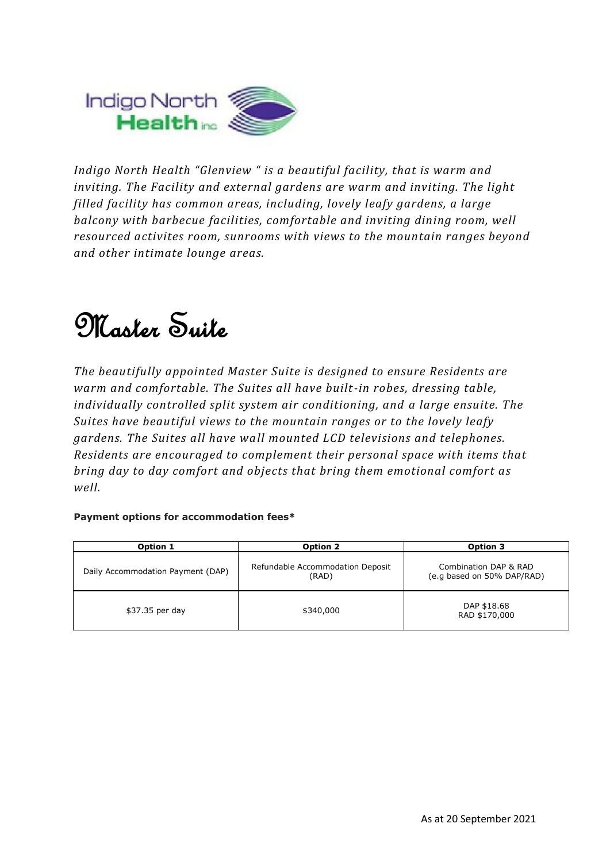

*Indigo North Health "Glenview " is a beautiful facility, that is warm and inviting. The Facility and external gardens are warm and inviting. The light filled facility has common areas, including, lovely leafy gardens, a large balcony with barbecue facilities, comfortable and inviting dining room, well resourced activites room, sunrooms with views to the mountain ranges beyond and other intimate lounge areas.*

## Master Suite

*The beautifully appointed Master Suite is designed to ensure Residents are warm and comfortable. The Suites all have built-in robes, dressing table, individually controlled split system air conditioning, and a large ensuite. The Suites have beautiful views to the mountain ranges or to the lovely leafy gardens. The Suites all have wall mounted LCD televisions and telephones. Residents are encouraged to complement their personal space with items that bring day to day comfort and objects that bring them emotional comfort as well.*

### **Payment options for accommodation fees\***

| Option 1                          | Option 2                                  | Option 3                                            |
|-----------------------------------|-------------------------------------------|-----------------------------------------------------|
| Daily Accommodation Payment (DAP) | Refundable Accommodation Deposit<br>(RAD) | Combination DAP & RAD<br>(e.g based on 50% DAP/RAD) |
| \$37.35 per day                   | \$340,000                                 | DAP \$18.68<br>RAD \$170,000                        |